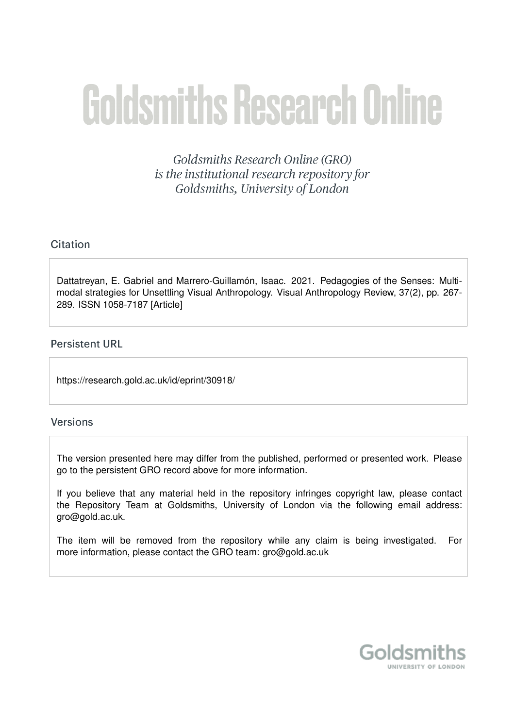# **Goldsmiths Research Online**

Goldsmiths Research Online (GRO) is the institutional research repository for Goldsmiths, University of London

# Citation

Dattatreyan, E. Gabriel and Marrero-Guillamón, Isaac. 2021. Pedagogies of the Senses: Multimodal strategies for Unsettling Visual Anthropology. Visual Anthropology Review, 37(2), pp. 267- 289. ISSN 1058-7187 [Article]

# **Persistent URL**

https://research.gold.ac.uk/id/eprint/30918/

## **Versions**

The version presented here may differ from the published, performed or presented work. Please go to the persistent GRO record above for more information.

If you believe that any material held in the repository infringes copyright law, please contact the Repository Team at Goldsmiths, University of London via the following email address: gro@gold.ac.uk.

The item will be removed from the repository while any claim is being investigated. For more information, please contact the GRO team: gro@gold.ac.uk

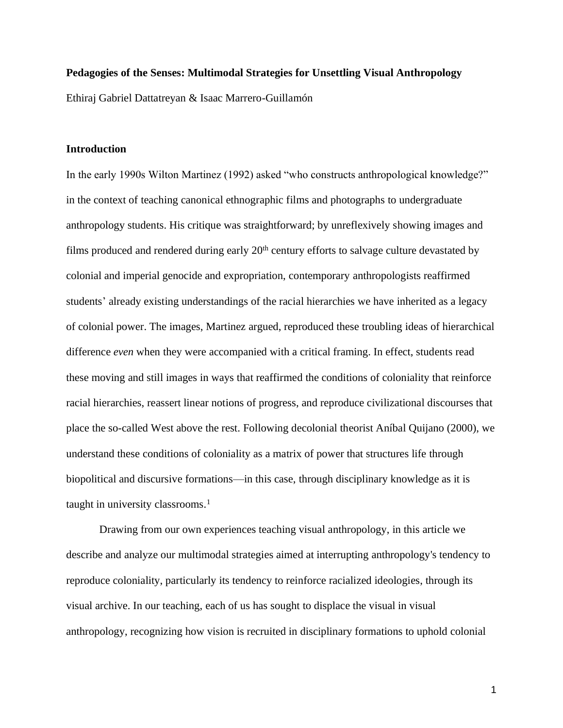### **Pedagogies of the Senses: Multimodal Strategies for Unsettling Visual Anthropology**

Ethiraj Gabriel Dattatreyan & Isaac Marrero-Guillamón

### **Introduction**

In the early 1990s Wilton Martinez (1992) asked "who constructs anthropological knowledge?" in the context of teaching canonical ethnographic films and photographs to undergraduate anthropology students. His critique was straightforward; by unreflexively showing images and films produced and rendered during early  $20<sup>th</sup>$  century efforts to salvage culture devastated by colonial and imperial genocide and expropriation, contemporary anthropologists reaffirmed students' already existing understandings of the racial hierarchies we have inherited as a legacy of colonial power. The images, Martinez argued, reproduced these troubling ideas of hierarchical difference *even* when they were accompanied with a critical framing. In effect, students read these moving and still images in ways that reaffirmed the conditions of coloniality that reinforce racial hierarchies, reassert linear notions of progress, and reproduce civilizational discourses that place the so-called West above the rest. Following decolonial theorist Aníbal Quijano (2000), we understand these conditions of coloniality as a matrix of power that structures life through biopolitical and discursive formations—in this case, through disciplinary knowledge as it is taught in university classrooms. 1

Drawing from our own experiences teaching visual anthropology, in this article we describe and analyze our multimodal strategies aimed at interrupting anthropology's tendency to reproduce coloniality, particularly its tendency to reinforce racialized ideologies, through its visual archive. In our teaching, each of us has sought to displace the visual in visual anthropology, recognizing how vision is recruited in disciplinary formations to uphold colonial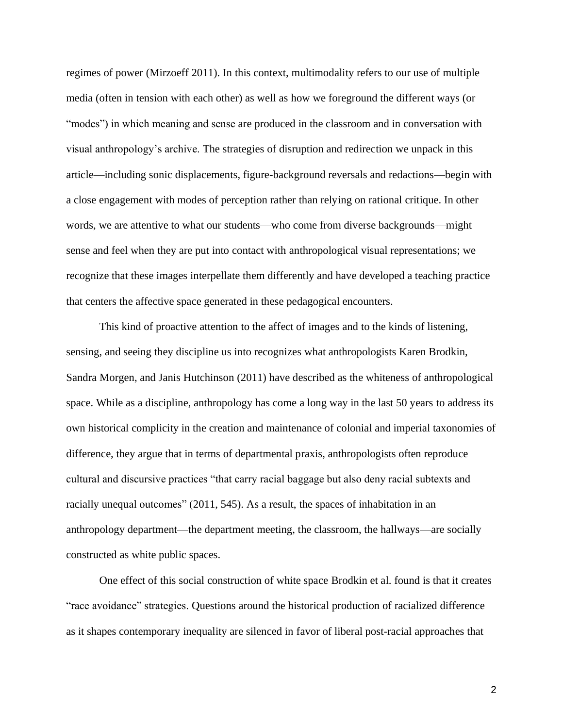regimes of power (Mirzoeff 2011). In this context, multimodality refers to our use of multiple media (often in tension with each other) as well as how we foreground the different ways (or "modes") in which meaning and sense are produced in the classroom and in conversation with visual anthropology's archive. The strategies of disruption and redirection we unpack in this article—including sonic displacements, figure-background reversals and redactions—begin with a close engagement with modes of perception rather than relying on rational critique. In other words, we are attentive to what our students—who come from diverse backgrounds—might sense and feel when they are put into contact with anthropological visual representations; we recognize that these images interpellate them differently and have developed a teaching practice that centers the affective space generated in these pedagogical encounters.

This kind of proactive attention to the affect of images and to the kinds of listening, sensing, and seeing they discipline us into recognizes what anthropologists Karen Brodkin, Sandra Morgen, and Janis Hutchinson (2011) have described as the whiteness of anthropological space. While as a discipline, anthropology has come a long way in the last 50 years to address its own historical complicity in the creation and maintenance of colonial and imperial taxonomies of difference, they argue that in terms of departmental praxis, anthropologists often reproduce cultural and discursive practices "that carry racial baggage but also deny racial subtexts and racially unequal outcomes" (2011, 545). As a result, the spaces of inhabitation in an anthropology department—the department meeting, the classroom, the hallways—are socially constructed as white public spaces.

One effect of this social construction of white space Brodkin et al. found is that it creates "race avoidance" strategies. Questions around the historical production of racialized difference as it shapes contemporary inequality are silenced in favor of liberal post-racial approaches that

 $\mathfrak{D}$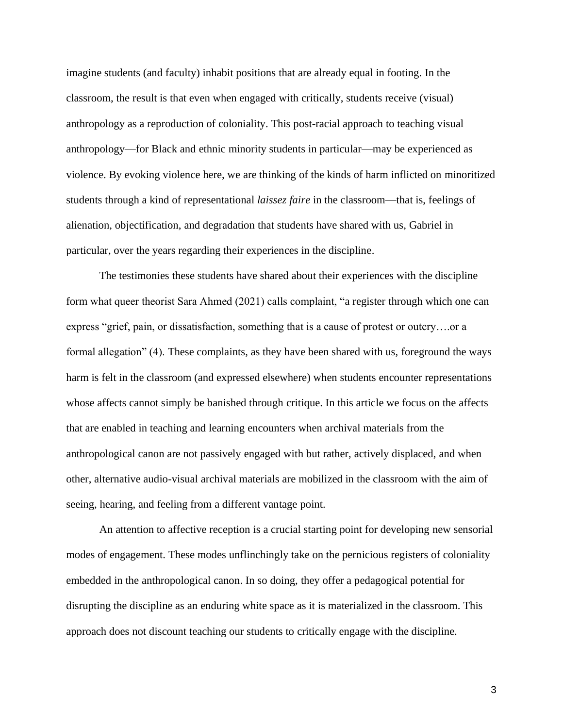imagine students (and faculty) inhabit positions that are already equal in footing. In the classroom, the result is that even when engaged with critically, students receive (visual) anthropology as a reproduction of coloniality. This post-racial approach to teaching visual anthropology—for Black and ethnic minority students in particular—may be experienced as violence. By evoking violence here, we are thinking of the kinds of harm inflicted on minoritized students through a kind of representational *laissez faire* in the classroom—that is, feelings of alienation, objectification, and degradation that students have shared with us, Gabriel in particular, over the years regarding their experiences in the discipline.

The testimonies these students have shared about their experiences with the discipline form what queer theorist Sara Ahmed (2021) calls complaint, "a register through which one can express "grief, pain, or dissatisfaction, something that is a cause of protest or outcry….or a formal allegation" (4). These complaints, as they have been shared with us, foreground the ways harm is felt in the classroom (and expressed elsewhere) when students encounter representations whose affects cannot simply be banished through critique. In this article we focus on the affects that are enabled in teaching and learning encounters when archival materials from the anthropological canon are not passively engaged with but rather, actively displaced, and when other, alternative audio-visual archival materials are mobilized in the classroom with the aim of seeing, hearing, and feeling from a different vantage point.

An attention to affective reception is a crucial starting point for developing new sensorial modes of engagement. These modes unflinchingly take on the pernicious registers of coloniality embedded in the anthropological canon. In so doing, they offer a pedagogical potential for disrupting the discipline as an enduring white space as it is materialized in the classroom. This approach does not discount teaching our students to critically engage with the discipline.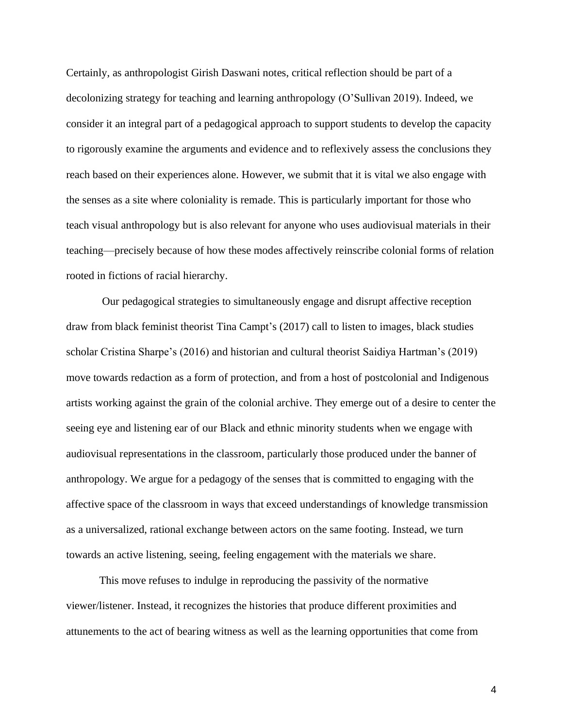Certainly, as anthropologist Girish Daswani notes, critical reflection should be part of a decolonizing strategy for teaching and learning anthropology (O'Sullivan 2019). Indeed, we consider it an integral part of a pedagogical approach to support students to develop the capacity to rigorously examine the arguments and evidence and to reflexively assess the conclusions they reach based on their experiences alone. However, we submit that it is vital we also engage with the senses as a site where coloniality is remade. This is particularly important for those who teach visual anthropology but is also relevant for anyone who uses audiovisual materials in their teaching—precisely because of how these modes affectively reinscribe colonial forms of relation rooted in fictions of racial hierarchy.

Our pedagogical strategies to simultaneously engage and disrupt affective reception draw from black feminist theorist Tina Campt's (2017) call to listen to images, black studies scholar Cristina Sharpe's (2016) and historian and cultural theorist Saidiya Hartman's (2019) move towards redaction as a form of protection, and from a host of postcolonial and Indigenous artists working against the grain of the colonial archive. They emerge out of a desire to center the seeing eye and listening ear of our Black and ethnic minority students when we engage with audiovisual representations in the classroom, particularly those produced under the banner of anthropology. We argue for a pedagogy of the senses that is committed to engaging with the affective space of the classroom in ways that exceed understandings of knowledge transmission as a universalized, rational exchange between actors on the same footing. Instead, we turn towards an active listening, seeing, feeling engagement with the materials we share.

This move refuses to indulge in reproducing the passivity of the normative viewer/listener. Instead, it recognizes the histories that produce different proximities and attunements to the act of bearing witness as well as the learning opportunities that come from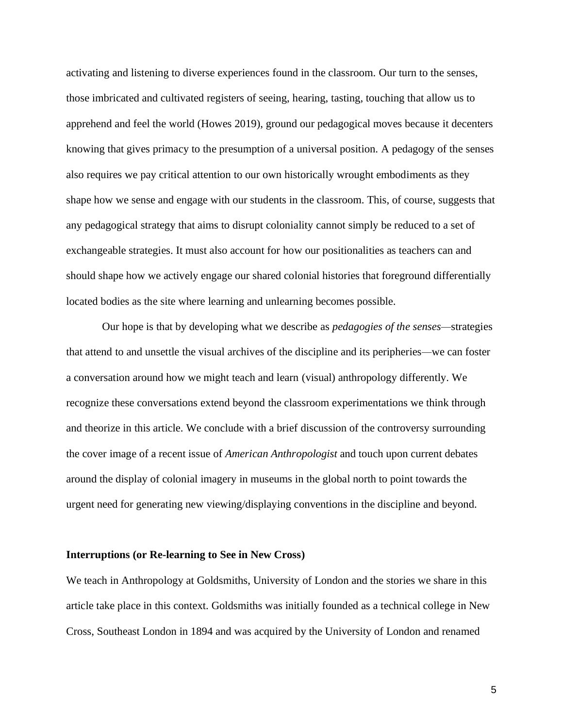activating and listening to diverse experiences found in the classroom. Our turn to the senses, those imbricated and cultivated registers of seeing, hearing, tasting, touching that allow us to apprehend and feel the world (Howes 2019), ground our pedagogical moves because it decenters knowing that gives primacy to the presumption of a universal position. A pedagogy of the senses also requires we pay critical attention to our own historically wrought embodiments as they shape how we sense and engage with our students in the classroom. This, of course, suggests that any pedagogical strategy that aims to disrupt coloniality cannot simply be reduced to a set of exchangeable strategies. It must also account for how our positionalities as teachers can and should shape how we actively engage our shared colonial histories that foreground differentially located bodies as the site where learning and unlearning becomes possible.

Our hope is that by developing what we describe as *pedagogies of the senses—*strategies that attend to and unsettle the visual archives of the discipline and its peripheries*—*we can foster a conversation around how we might teach and learn (visual) anthropology differently. We recognize these conversations extend beyond the classroom experimentations we think through and theorize in this article. We conclude with a brief discussion of the controversy surrounding the cover image of a recent issue of *American Anthropologist* and touch upon current debates around the display of colonial imagery in museums in the global north to point towards the urgent need for generating new viewing/displaying conventions in the discipline and beyond.

### **Interruptions (or Re-learning to See in New Cross)**

We teach in Anthropology at Goldsmiths, University of London and the stories we share in this article take place in this context. Goldsmiths was initially founded as a technical college in New Cross, Southeast London in 1894 and was acquired by the University of London and renamed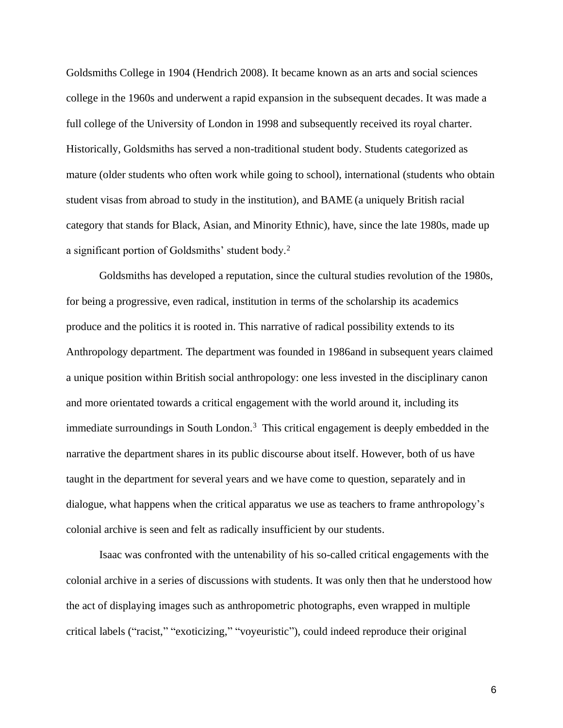Goldsmiths College in 1904 (Hendrich 2008). It became known as an arts and social sciences college in the 1960s and underwent a rapid expansion in the subsequent decades. It was made a full college of the University of London in 1998 and subsequently received its royal charter. Historically, Goldsmiths has served a non-traditional student body. Students categorized as mature (older students who often work while going to school), international (students who obtain student visas from abroad to study in the institution), and BAME (a uniquely British racial category that stands for Black, Asian, and Minority Ethnic), have, since the late 1980s, made up a significant portion of Goldsmiths' student body.<sup>2</sup>

Goldsmiths has developed a reputation, since the cultural studies revolution of the 1980s, for being a progressive, even radical, institution in terms of the scholarship its academics produce and the politics it is rooted in. This narrative of radical possibility extends to its Anthropology department. The department was founded in 1986and in subsequent years claimed a unique position within British social anthropology: one less invested in the disciplinary canon and more orientated towards a critical engagement with the world around it, including its immediate surroundings in South London. <sup>3</sup> This critical engagement is deeply embedded in the narrative the department shares in its public discourse about itself. However, both of us have taught in the department for several years and we have come to question, separately and in dialogue, what happens when the critical apparatus we use as teachers to frame anthropology's colonial archive is seen and felt as radically insufficient by our students.

Isaac was confronted with the untenability of his so-called critical engagements with the colonial archive in a series of discussions with students. It was only then that he understood how the act of displaying images such as anthropometric photographs, even wrapped in multiple critical labels ("racist," "exoticizing," "voyeuristic"), could indeed reproduce their original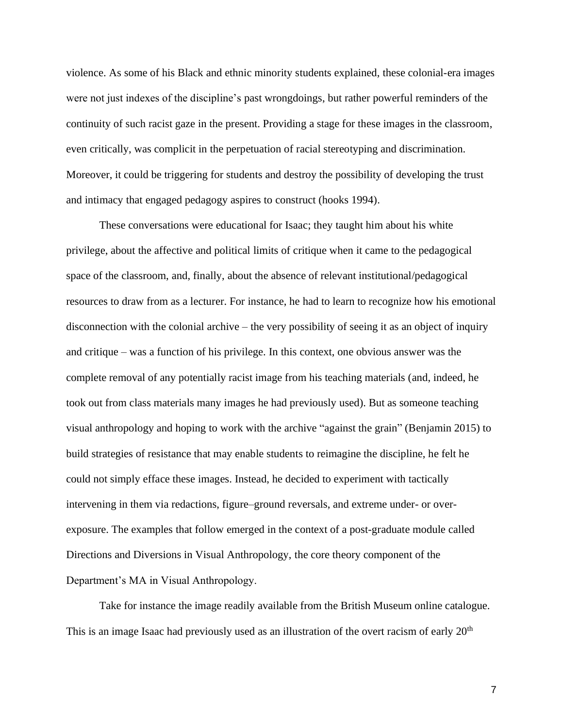violence. As some of his Black and ethnic minority students explained, these colonial-era images were not just indexes of the discipline's past wrongdoings, but rather powerful reminders of the continuity of such racist gaze in the present. Providing a stage for these images in the classroom, even critically, was complicit in the perpetuation of racial stereotyping and discrimination. Moreover, it could be triggering for students and destroy the possibility of developing the trust and intimacy that engaged pedagogy aspires to construct (hooks 1994).

These conversations were educational for Isaac; they taught him about his white privilege, about the affective and political limits of critique when it came to the pedagogical space of the classroom, and, finally, about the absence of relevant institutional/pedagogical resources to draw from as a lecturer. For instance, he had to learn to recognize how his emotional disconnection with the colonial archive – the very possibility of seeing it as an object of inquiry and critique – was a function of his privilege. In this context, one obvious answer was the complete removal of any potentially racist image from his teaching materials (and, indeed, he took out from class materials many images he had previously used). But as someone teaching visual anthropology and hoping to work with the archive "against the grain" (Benjamin 2015) to build strategies of resistance that may enable students to reimagine the discipline, he felt he could not simply efface these images. Instead, he decided to experiment with tactically intervening in them via redactions, figure–ground reversals, and extreme under- or overexposure. The examples that follow emerged in the context of a post-graduate module called Directions and Diversions in Visual Anthropology, the core theory component of the Department's MA in Visual Anthropology.

Take for instance the image readily available from the British Museum online catalogue. This is an image Isaac had previously used as an illustration of the overt racism of early 20<sup>th</sup>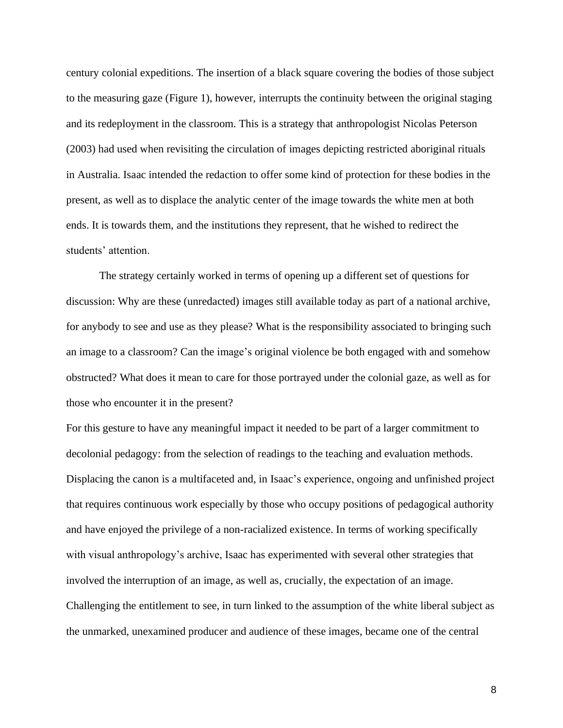century colonial expeditions. The insertion of a black square covering the bodies of those subject to the measuring gaze (Figure 1), however, interrupts the continuity between the original staging and its redeployment in the classroom. This is a strategy that anthropologist Nicolas Peterson (2003) had used when revisiting the circulation of images depicting restricted aboriginal rituals in Australia. Isaac intended the redaction to offer some kind of protection for these bodies in the present, as well as to displace the analytic center of the image towards the white men at both ends. It is towards them, and the institutions they represent, that he wished to redirect the students' attention.

The strategy certainly worked in terms of opening up a different set of questions for discussion: Why are these (unredacted) images still available today as part of a national archive, for anybody to see and use as they please? What is the responsibility associated to bringing such an image to a classroom? Can the image's original violence be both engaged with and somehow obstructed? What does it mean to care for those portrayed under the colonial gaze, as well as for those who encounter it in the present?

For this gesture to have any meaningful impact it needed to be part of a larger commitment to decolonial pedagogy: from the selection of readings to the teaching and evaluation methods. Displacing the canon is a multifaceted and, in Isaac's experience, ongoing and unfinished project that requires continuous work especially by those who occupy positions of pedagogical authority and have enjoyed the privilege of a non-racialized existence. In terms of working specifically with visual anthropology's archive, Isaac has experimented with several other strategies that involved the interruption of an image, as well as, crucially, the expectation of an image. Challenging the entitlement to see, in turn linked to the assumption of the white liberal subject as the unmarked, unexamined producer and audience of these images, became one of the central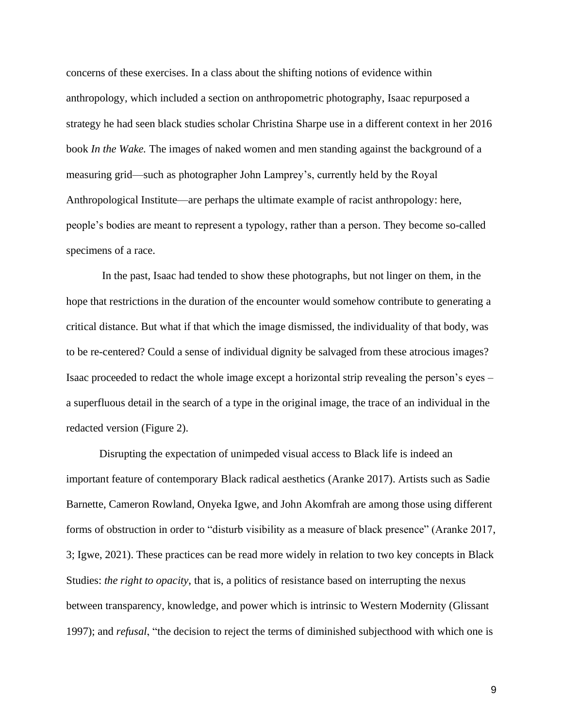concerns of these exercises. In a class about the shifting notions of evidence within anthropology, which included a section on anthropometric photography, Isaac repurposed a strategy he had seen black studies scholar Christina Sharpe use in a different context in her 2016 book *In the Wake.* The images of naked women and men standing against the background of a measuring grid—such as photographer John Lamprey's, currently held by the Royal Anthropological Institute—are perhaps the ultimate example of racist anthropology: here, people's bodies are meant to represent a typology, rather than a person. They become so-called specimens of a race.

In the past, Isaac had tended to show these photographs, but not linger on them, in the hope that restrictions in the duration of the encounter would somehow contribute to generating a critical distance. But what if that which the image dismissed, the individuality of that body, was to be re-centered? Could a sense of individual dignity be salvaged from these atrocious images? Isaac proceeded to redact the whole image except a horizontal strip revealing the person's eyes – a superfluous detail in the search of a type in the original image, the trace of an individual in the redacted version (Figure 2).

Disrupting the expectation of unimpeded visual access to Black life is indeed an important feature of contemporary Black radical aesthetics (Aranke 2017). Artists such as Sadie Barnette, Cameron Rowland, Onyeka Igwe, and John Akomfrah are among those using different forms of obstruction in order to "disturb visibility as a measure of black presence" (Aranke 2017, 3; Igwe, 2021). These practices can be read more widely in relation to two key concepts in Black Studies: *the right to opacity*, that is, a politics of resistance based on interrupting the nexus between transparency, knowledge, and power which is intrinsic to Western Modernity (Glissant 1997); and *refusal*, "the decision to reject the terms of diminished subjecthood with which one is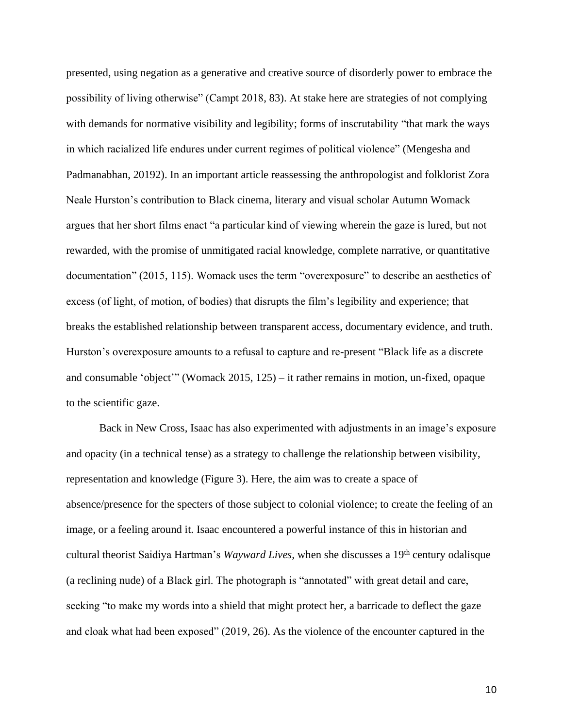presented, using negation as a generative and creative source of disorderly power to embrace the possibility of living otherwise" (Campt 2018, 83). At stake here are strategies of not complying with demands for normative visibility and legibility; forms of inscrutability "that mark the ways in which racialized life endures under current regimes of political violence" (Mengesha and Padmanabhan, 20192). In an important article reassessing the anthropologist and folklorist Zora Neale Hurston's contribution to Black cinema, literary and visual scholar Autumn Womack argues that her short films enact "a particular kind of viewing wherein the gaze is lured, but not rewarded, with the promise of unmitigated racial knowledge, complete narrative, or quantitative documentation" (2015, 115). Womack uses the term "overexposure" to describe an aesthetics of excess (of light, of motion, of bodies) that disrupts the film's legibility and experience; that breaks the established relationship between transparent access, documentary evidence, and truth. Hurston's overexposure amounts to a refusal to capture and re-present "Black life as a discrete and consumable 'object'" (Womack 2015, 125) – it rather remains in motion, un-fixed, opaque to the scientific gaze.

Back in New Cross, Isaac has also experimented with adjustments in an image's exposure and opacity (in a technical tense) as a strategy to challenge the relationship between visibility, representation and knowledge (Figure 3). Here, the aim was to create a space of absence/presence for the specters of those subject to colonial violence; to create the feeling of an image, or a feeling around it. Isaac encountered a powerful instance of this in historian and cultural theorist Saidiya Hartman's *Wayward Lives,* when she discusses a 19th century odalisque (a reclining nude) of a Black girl. The photograph is "annotated" with great detail and care, seeking "to make my words into a shield that might protect her, a barricade to deflect the gaze and cloak what had been exposed" (2019, 26). As the violence of the encounter captured in the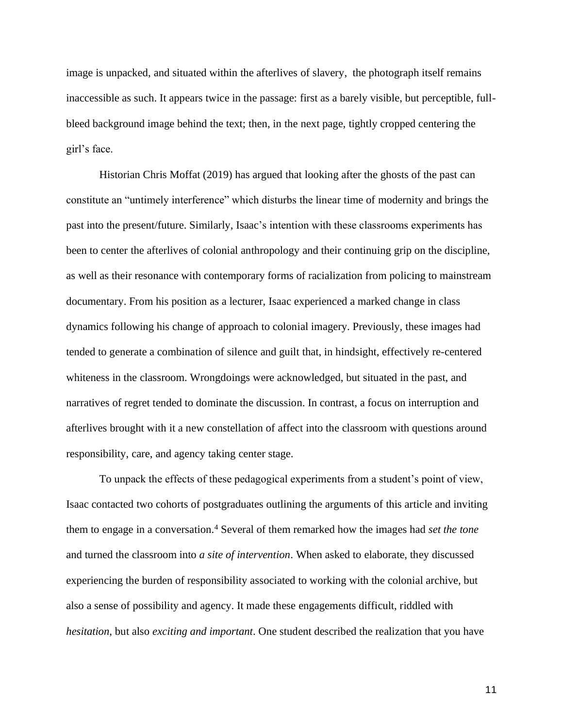image is unpacked, and situated within the afterlives of slavery, the photograph itself remains inaccessible as such. It appears twice in the passage: first as a barely visible, but perceptible, fullbleed background image behind the text; then, in the next page, tightly cropped centering the girl's face.

Historian Chris Moffat (2019) has argued that looking after the ghosts of the past can constitute an "untimely interference" which disturbs the linear time of modernity and brings the past into the present/future. Similarly, Isaac's intention with these classrooms experiments has been to center the afterlives of colonial anthropology and their continuing grip on the discipline, as well as their resonance with contemporary forms of racialization from policing to mainstream documentary. From his position as a lecturer, Isaac experienced a marked change in class dynamics following his change of approach to colonial imagery. Previously, these images had tended to generate a combination of silence and guilt that, in hindsight, effectively re-centered whiteness in the classroom. Wrongdoings were acknowledged, but situated in the past, and narratives of regret tended to dominate the discussion. In contrast, a focus on interruption and afterlives brought with it a new constellation of affect into the classroom with questions around responsibility, care, and agency taking center stage.

To unpack the effects of these pedagogical experiments from a student's point of view, Isaac contacted two cohorts of postgraduates outlining the arguments of this article and inviting them to engage in a conversation.<sup>4</sup> Several of them remarked how the images had *set the tone* and turned the classroom into *a site of intervention*. When asked to elaborate, they discussed experiencing the burden of responsibility associated to working with the colonial archive, but also a sense of possibility and agency. It made these engagements difficult, riddled with *hesitation*, but also *exciting and important*. One student described the realization that you have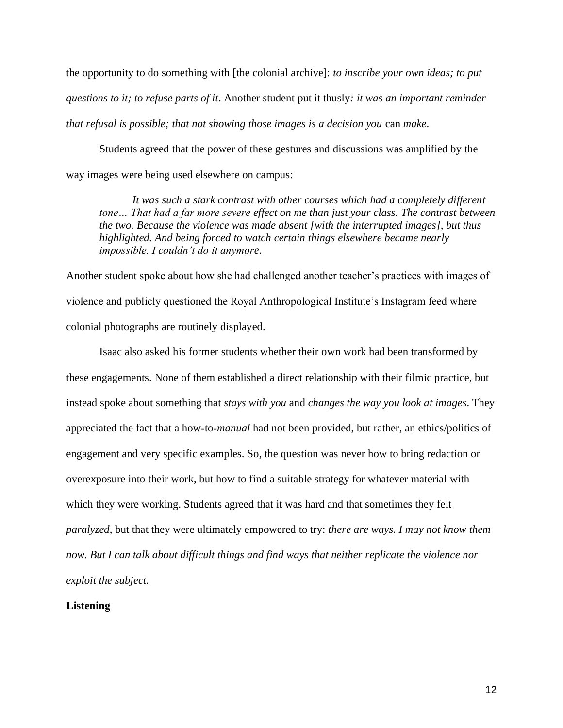the opportunity to do something with [the colonial archive]: *to inscribe your own ideas; to put questions to it; to refuse parts of it*. Another student put it thusly*: it was an important reminder that refusal is possible; that not showing those images is a decision you* can *make*.

Students agreed that the power of these gestures and discussions was amplified by the way images were being used elsewhere on campus:

*It was such a stark contrast with other courses which had a completely different tone… That had a far more severe effect on me than just your class. The contrast between the two. Because the violence was made absent [with the interrupted images], but thus highlighted. And being forced to watch certain things elsewhere became nearly impossible. I couldn't do it anymore*.

Another student spoke about how she had challenged another teacher's practices with images of violence and publicly questioned the Royal Anthropological Institute's Instagram feed where colonial photographs are routinely displayed.

Isaac also asked his former students whether their own work had been transformed by these engagements. None of them established a direct relationship with their filmic practice, but instead spoke about something that *stays with you* and *changes the way you look at images*. They appreciated the fact that a how-to-*manual* had not been provided, but rather, an ethics/politics of engagement and very specific examples. So, the question was never how to bring redaction or overexposure into their work, but how to find a suitable strategy for whatever material with which they were working. Students agreed that it was hard and that sometimes they felt *paralyzed*, but that they were ultimately empowered to try: *there are ways. I may not know them now. But I can talk about difficult things and find ways that neither replicate the violence nor exploit the subject.*

### **Listening**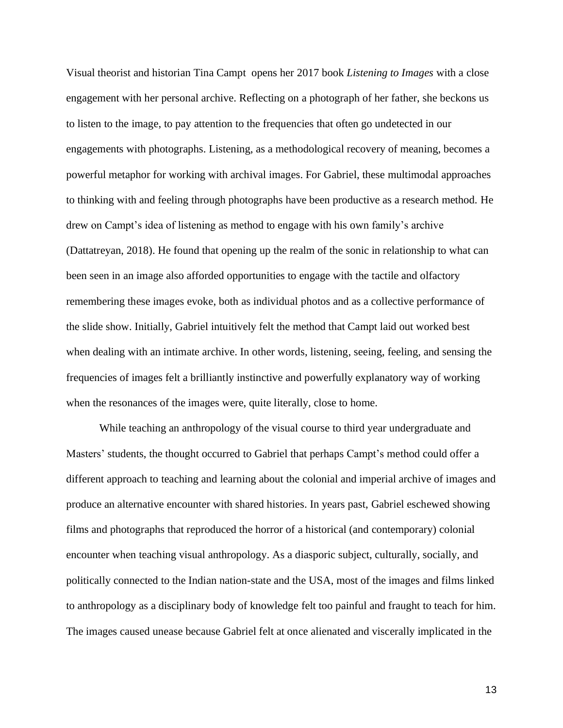Visual theorist and historian Tina Campt opens her 2017 book *Listening to Images* with a close engagement with her personal archive. Reflecting on a photograph of her father, she beckons us to listen to the image, to pay attention to the frequencies that often go undetected in our engagements with photographs. Listening, as a methodological recovery of meaning, becomes a powerful metaphor for working with archival images. For Gabriel, these multimodal approaches to thinking with and feeling through photographs have been productive as a research method. He drew on Campt's idea of listening as method to engage with his own family's archive (Dattatreyan, 2018). He found that opening up the realm of the sonic in relationship to what can been seen in an image also afforded opportunities to engage with the tactile and olfactory remembering these images evoke, both as individual photos and as a collective performance of the slide show. Initially, Gabriel intuitively felt the method that Campt laid out worked best when dealing with an intimate archive. In other words, listening, seeing, feeling, and sensing the frequencies of images felt a brilliantly instinctive and powerfully explanatory way of working when the resonances of the images were, quite literally, close to home.

While teaching an anthropology of the visual course to third year undergraduate and Masters' students, the thought occurred to Gabriel that perhaps Campt's method could offer a different approach to teaching and learning about the colonial and imperial archive of images and produce an alternative encounter with shared histories. In years past, Gabriel eschewed showing films and photographs that reproduced the horror of a historical (and contemporary) colonial encounter when teaching visual anthropology. As a diasporic subject, culturally, socially, and politically connected to the Indian nation-state and the USA, most of the images and films linked to anthropology as a disciplinary body of knowledge felt too painful and fraught to teach for him. The images caused unease because Gabriel felt at once alienated and viscerally implicated in the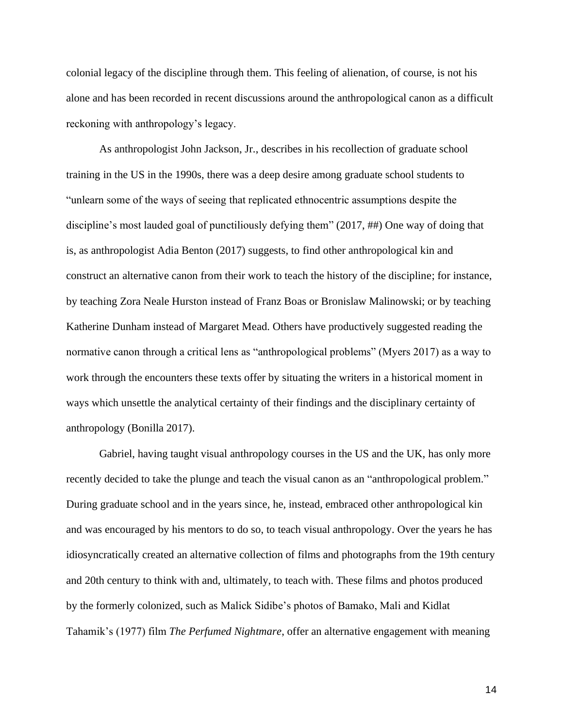colonial legacy of the discipline through them. This feeling of alienation, of course, is not his alone and has been recorded in recent discussions around the anthropological canon as a difficult reckoning with anthropology's legacy.

As anthropologist John Jackson, Jr., describes in his recollection of graduate school training in the US in the 1990s, there was a deep desire among graduate school students to "unlearn some of the ways of seeing that replicated ethnocentric assumptions despite the discipline's most lauded goal of punctiliously defying them" (2017, ##) One way of doing that is, as anthropologist Adia Benton (2017) suggests, to find other anthropological kin and construct an alternative canon from their work to teach the history of the discipline; for instance, by teaching Zora Neale Hurston instead of Franz Boas or Bronislaw Malinowski; or by teaching Katherine Dunham instead of Margaret Mead. Others have productively suggested reading the normative canon through a critical lens as "anthropological problems" (Myers 2017) as a way to work through the encounters these texts offer by situating the writers in a historical moment in ways which unsettle the analytical certainty of their findings and the disciplinary certainty of anthropology (Bonilla 2017).

Gabriel, having taught visual anthropology courses in the US and the UK, has only more recently decided to take the plunge and teach the visual canon as an "anthropological problem." During graduate school and in the years since, he, instead, embraced other anthropological kin and was encouraged by his mentors to do so, to teach visual anthropology. Over the years he has idiosyncratically created an alternative collection of films and photographs from the 19th century and 20th century to think with and, ultimately, to teach with. These films and photos produced by the formerly colonized, such as Malick Sidibe's photos of Bamako, Mali and Kidlat Tahamik's (1977) film *The Perfumed Nightmare*, offer an alternative engagement with meaning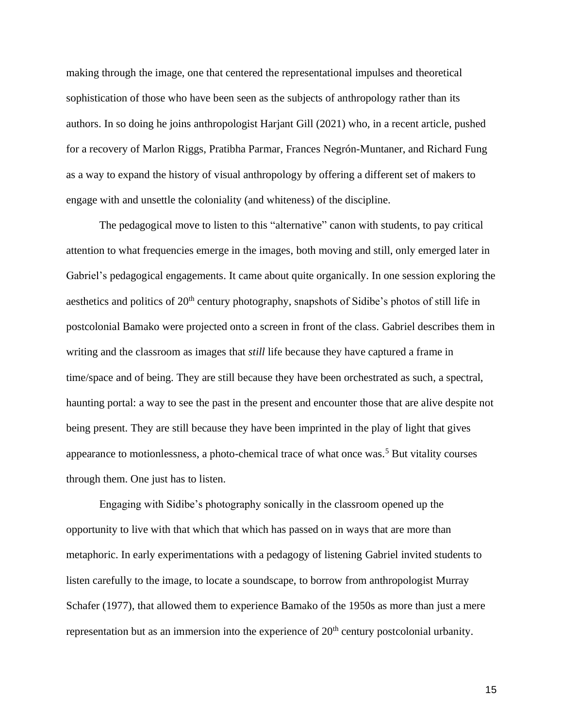making through the image, one that centered the representational impulses and theoretical sophistication of those who have been seen as the subjects of anthropology rather than its authors. In so doing he joins anthropologist Harjant Gill (2021) who, in a recent article, pushed for a recovery of Marlon Riggs, Pratibha Parmar, Frances Negrón-Muntaner, and Richard Fung as a way to expand the history of visual anthropology by offering a different set of makers to engage with and unsettle the coloniality (and whiteness) of the discipline.

The pedagogical move to listen to this "alternative" canon with students, to pay critical attention to what frequencies emerge in the images, both moving and still, only emerged later in Gabriel's pedagogical engagements. It came about quite organically. In one session exploring the aesthetics and politics of 20<sup>th</sup> century photography, snapshots of Sidibe's photos of still life in postcolonial Bamako were projected onto a screen in front of the class. Gabriel describes them in writing and the classroom as images that *still* life because they have captured a frame in time/space and of being. They are still because they have been orchestrated as such, a spectral, haunting portal: a way to see the past in the present and encounter those that are alive despite not being present. They are still because they have been imprinted in the play of light that gives appearance to motionlessness, a photo-chemical trace of what once was.<sup>5</sup> But vitality courses through them. One just has to listen.

Engaging with Sidibe's photography sonically in the classroom opened up the opportunity to live with that which that which has passed on in ways that are more than metaphoric. In early experimentations with a pedagogy of listening Gabriel invited students to listen carefully to the image, to locate a soundscape, to borrow from anthropologist Murray Schafer (1977), that allowed them to experience Bamako of the 1950s as more than just a mere representation but as an immersion into the experience of  $20<sup>th</sup>$  century postcolonial urbanity.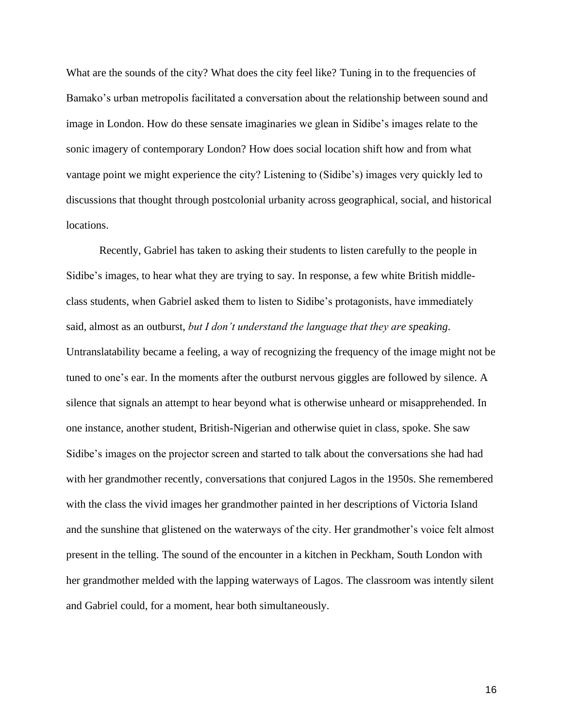What are the sounds of the city? What does the city feel like? Tuning in to the frequencies of Bamako's urban metropolis facilitated a conversation about the relationship between sound and image in London. How do these sensate imaginaries we glean in Sidibe's images relate to the sonic imagery of contemporary London? How does social location shift how and from what vantage point we might experience the city? Listening to (Sidibe's) images very quickly led to discussions that thought through postcolonial urbanity across geographical, social, and historical locations.

Recently, Gabriel has taken to asking their students to listen carefully to the people in Sidibe's images, to hear what they are trying to say. In response, a few white British middleclass students, when Gabriel asked them to listen to Sidibe's protagonists, have immediately said, almost as an outburst, *but I don't understand the language that they are speaking*. Untranslatability became a feeling, a way of recognizing the frequency of the image might not be tuned to one's ear. In the moments after the outburst nervous giggles are followed by silence. A silence that signals an attempt to hear beyond what is otherwise unheard or misapprehended. In one instance, another student, British-Nigerian and otherwise quiet in class, spoke. She saw Sidibe's images on the projector screen and started to talk about the conversations she had had with her grandmother recently, conversations that conjured Lagos in the 1950s. She remembered with the class the vivid images her grandmother painted in her descriptions of Victoria Island and the sunshine that glistened on the waterways of the city. Her grandmother's voice felt almost present in the telling. The sound of the encounter in a kitchen in Peckham, South London with her grandmother melded with the lapping waterways of Lagos. The classroom was intently silent and Gabriel could, for a moment, hear both simultaneously.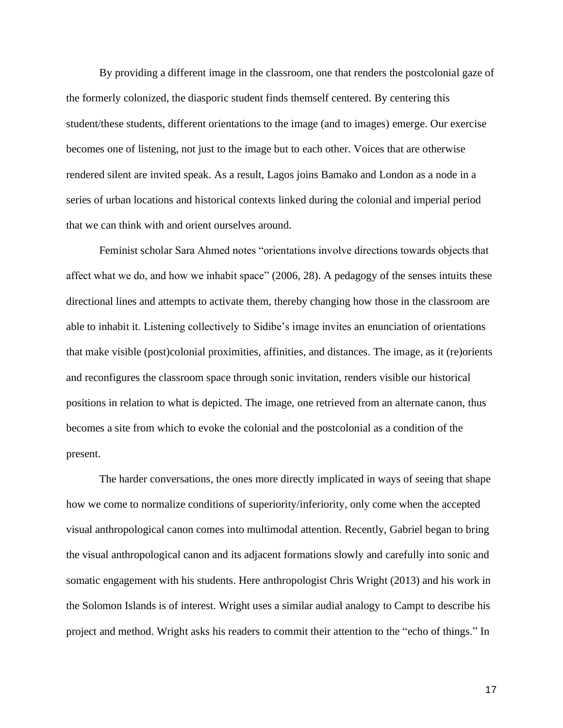By providing a different image in the classroom, one that renders the postcolonial gaze of the formerly colonized, the diasporic student finds themself centered. By centering this student/these students, different orientations to the image (and to images) emerge. Our exercise becomes one of listening, not just to the image but to each other. Voices that are otherwise rendered silent are invited speak. As a result, Lagos joins Bamako and London as a node in a series of urban locations and historical contexts linked during the colonial and imperial period that we can think with and orient ourselves around.

Feminist scholar Sara Ahmed notes "orientations involve directions towards objects that affect what we do, and how we inhabit space" (2006, 28). A pedagogy of the senses intuits these directional lines and attempts to activate them, thereby changing how those in the classroom are able to inhabit it. Listening collectively to Sidibe's image invites an enunciation of orientations that make visible (post)colonial proximities, affinities, and distances. The image, as it (re)orients and reconfigures the classroom space through sonic invitation, renders visible our historical positions in relation to what is depicted. The image, one retrieved from an alternate canon, thus becomes a site from which to evoke the colonial and the postcolonial as a condition of the present.

The harder conversations, the ones more directly implicated in ways of seeing that shape how we come to normalize conditions of superiority/inferiority, only come when the accepted visual anthropological canon comes into multimodal attention. Recently, Gabriel began to bring the visual anthropological canon and its adjacent formations slowly and carefully into sonic and somatic engagement with his students. Here anthropologist Chris Wright (2013) and his work in the Solomon Islands is of interest. Wright uses a similar audial analogy to Campt to describe his project and method. Wright asks his readers to commit their attention to the "echo of things." In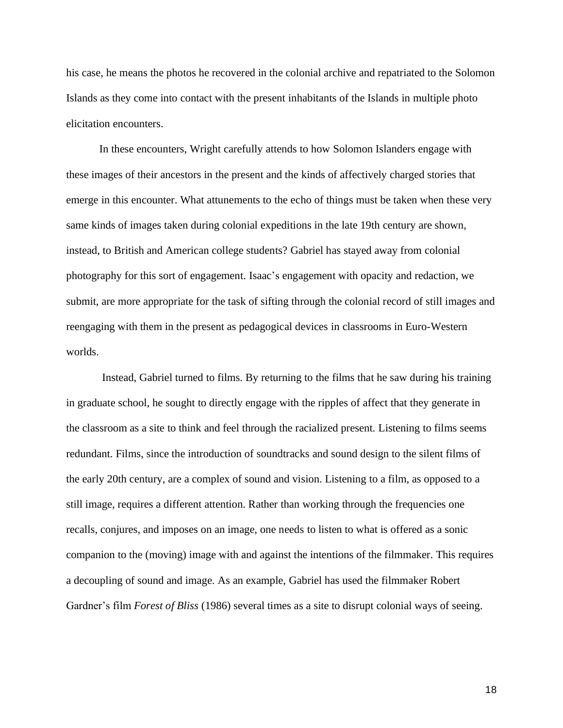his case, he means the photos he recovered in the colonial archive and repatriated to the Solomon Islands as they come into contact with the present inhabitants of the Islands in multiple photo elicitation encounters.

In these encounters, Wright carefully attends to how Solomon Islanders engage with these images of their ancestors in the present and the kinds of affectively charged stories that emerge in this encounter. What attunements to the echo of things must be taken when these very same kinds of images taken during colonial expeditions in the late 19th century are shown, instead, to British and American college students? Gabriel has stayed away from colonial photography for this sort of engagement. Isaac's engagement with opacity and redaction, we submit, are more appropriate for the task of sifting through the colonial record of still images and reengaging with them in the present as pedagogical devices in classrooms in Euro-Western worlds.

Instead, Gabriel turned to films. By returning to the films that he saw during his training in graduate school, he sought to directly engage with the ripples of affect that they generate in the classroom as a site to think and feel through the racialized present. Listening to films seems redundant. Films, since the introduction of soundtracks and sound design to the silent films of the early 20th century, are a complex of sound and vision. Listening to a film, as opposed to a still image, requires a different attention. Rather than working through the frequencies one recalls, conjures, and imposes on an image, one needs to listen to what is offered as a sonic companion to the (moving) image with and against the intentions of the filmmaker. This requires a decoupling of sound and image. As an example, Gabriel has used the filmmaker Robert Gardner's film *Forest of Bliss* (1986) several times as a site to disrupt colonial ways of seeing.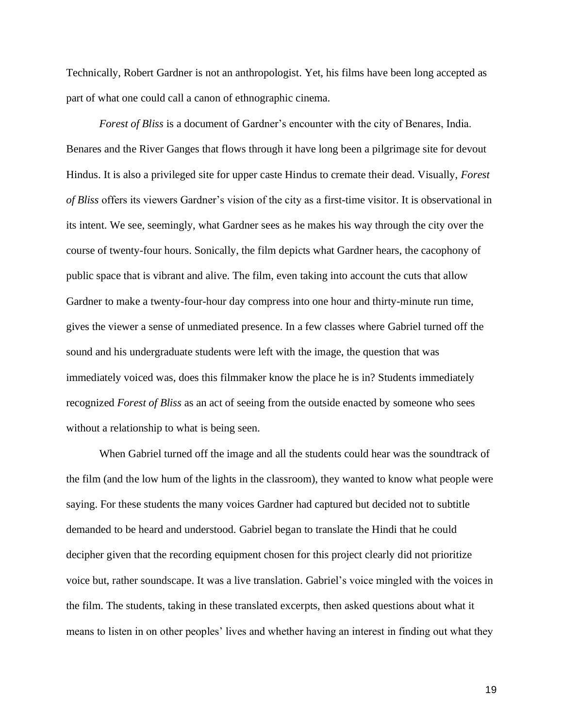Technically, Robert Gardner is not an anthropologist. Yet, his films have been long accepted as part of what one could call a canon of ethnographic cinema.

*Forest of Bliss* is a document of Gardner's encounter with the city of Benares, India. Benares and the River Ganges that flows through it have long been a pilgrimage site for devout Hindus. It is also a privileged site for upper caste Hindus to cremate their dead. Visually, *Forest of Bliss* offers its viewers Gardner's vision of the city as a first-time visitor. It is observational in its intent. We see, seemingly, what Gardner sees as he makes his way through the city over the course of twenty-four hours. Sonically, the film depicts what Gardner hears, the cacophony of public space that is vibrant and alive. The film, even taking into account the cuts that allow Gardner to make a twenty-four-hour day compress into one hour and thirty-minute run time, gives the viewer a sense of unmediated presence. In a few classes where Gabriel turned off the sound and his undergraduate students were left with the image, the question that was immediately voiced was, does this filmmaker know the place he is in? Students immediately recognized *Forest of Bliss* as an act of seeing from the outside enacted by someone who sees without a relationship to what is being seen.

When Gabriel turned off the image and all the students could hear was the soundtrack of the film (and the low hum of the lights in the classroom), they wanted to know what people were saying. For these students the many voices Gardner had captured but decided not to subtitle demanded to be heard and understood. Gabriel began to translate the Hindi that he could decipher given that the recording equipment chosen for this project clearly did not prioritize voice but, rather soundscape. It was a live translation. Gabriel's voice mingled with the voices in the film. The students, taking in these translated excerpts, then asked questions about what it means to listen in on other peoples' lives and whether having an interest in finding out what they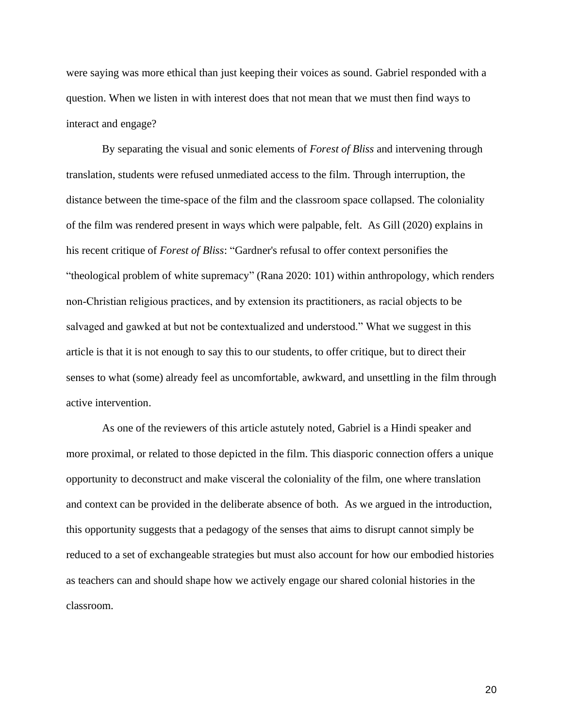were saying was more ethical than just keeping their voices as sound. Gabriel responded with a question. When we listen in with interest does that not mean that we must then find ways to interact and engage?

By separating the visual and sonic elements of *Forest of Bliss* and intervening through translation, students were refused unmediated access to the film. Through interruption, the distance between the time-space of the film and the classroom space collapsed. The coloniality of the film was rendered present in ways which were palpable, felt. As Gill (2020) explains in his recent critique of *Forest of Bliss*: "Gardner's refusal to offer context personifies the "theological problem of white supremacy" (Rana [2020:](https://anthrosource.onlinelibrary.wiley.com/doi/full/10.1111/aman.13510#aman13510-bib-0042) 101) within anthropology, which renders non‐Christian religious practices, and by extension its practitioners, as racial objects to be salvaged and gawked at but not be contextualized and understood." What we suggest in this article is that it is not enough to say this to our students, to offer critique, but to direct their senses to what (some) already feel as uncomfortable, awkward, and unsettling in the film through active intervention.

As one of the reviewers of this article astutely noted, Gabriel is a Hindi speaker and more proximal, or related to those depicted in the film. This diasporic connection offers a unique opportunity to deconstruct and make visceral the coloniality of the film, one where translation and context can be provided in the deliberate absence of both. As we argued in the introduction, this opportunity suggests that a pedagogy of the senses that aims to disrupt cannot simply be reduced to a set of exchangeable strategies but must also account for how our embodied histories as teachers can and should shape how we actively engage our shared colonial histories in the classroom.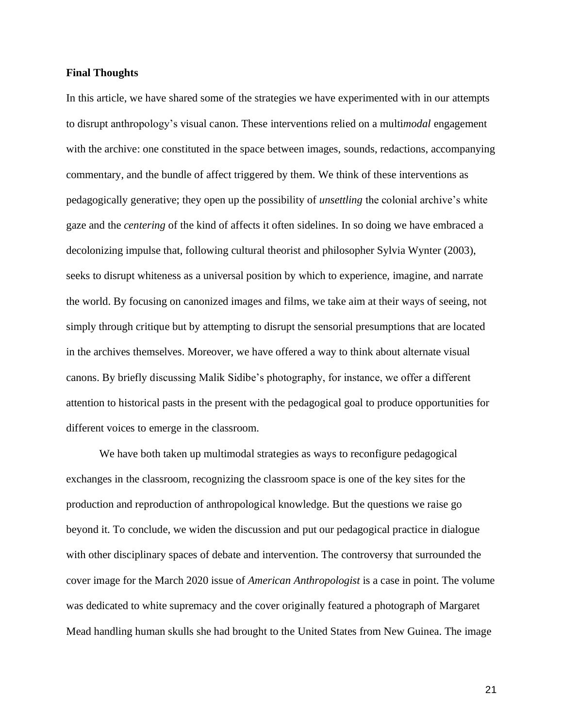### **Final Thoughts**

In this article, we have shared some of the strategies we have experimented with in our attempts to disrupt anthropology's visual canon. These interventions relied on a multi*modal* engagement with the archive: one constituted in the space between images, sounds, redactions, accompanying commentary, and the bundle of affect triggered by them. We think of these interventions as pedagogically generative; they open up the possibility of *unsettling* the colonial archive's white gaze and the *centering* of the kind of affects it often sidelines. In so doing we have embraced a decolonizing impulse that, following cultural theorist and philosopher Sylvia Wynter (2003), seeks to disrupt whiteness as a universal position by which to experience, imagine, and narrate the world. By focusing on canonized images and films, we take aim at their ways of seeing, not simply through critique but by attempting to disrupt the sensorial presumptions that are located in the archives themselves. Moreover, we have offered a way to think about alternate visual canons. By briefly discussing Malik Sidibe's photography, for instance, we offer a different attention to historical pasts in the present with the pedagogical goal to produce opportunities for different voices to emerge in the classroom.

We have both taken up multimodal strategies as ways to reconfigure pedagogical exchanges in the classroom, recognizing the classroom space is one of the key sites for the production and reproduction of anthropological knowledge. But the questions we raise go beyond it. To conclude, we widen the discussion and put our pedagogical practice in dialogue with other disciplinary spaces of debate and intervention. The controversy that surrounded the cover image for the March 2020 issue of *American Anthropologist* is a case in point. The volume was dedicated to white supremacy and the cover originally featured a photograph of Margaret Mead handling human skulls she had brought to the United States from New Guinea. The image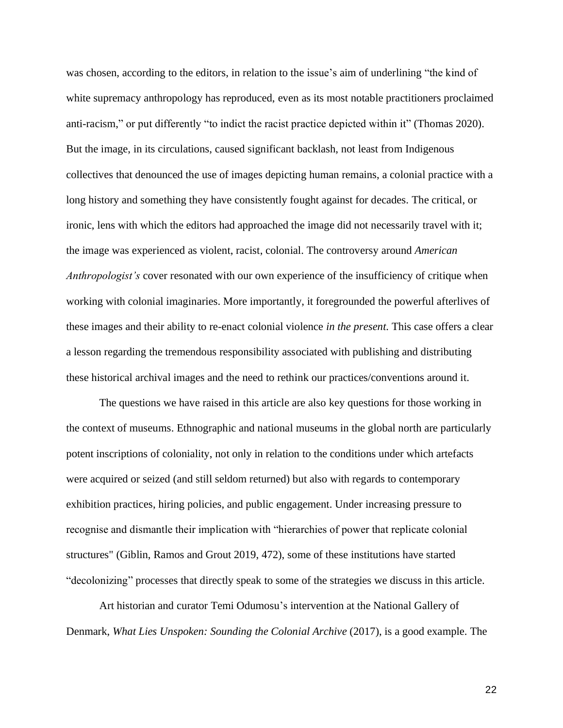was chosen, according to the editors, in relation to the issue's aim of underlining "the kind of white supremacy anthropology has reproduced, even as its most notable practitioners proclaimed anti-racism," or put differently "to indict the racist practice depicted within it" (Thomas 2020). But the image, in its circulations, caused significant backlash, not least from Indigenous collectives that denounced the use of images depicting human remains, a colonial practice with a long history and something they have consistently fought against for decades. The critical, or ironic, lens with which the editors had approached the image did not necessarily travel with it; the image was experienced as violent, racist, colonial. The controversy around *American Anthropologist's* cover resonated with our own experience of the insufficiency of critique when working with colonial imaginaries. More importantly, it foregrounded the powerful afterlives of these images and their ability to re-enact colonial violence *in the present.* This case offers a clear a lesson regarding the tremendous responsibility associated with publishing and distributing these historical archival images and the need to rethink our practices/conventions around it.

The questions we have raised in this article are also key questions for those working in the context of museums. Ethnographic and national museums in the global north are particularly potent inscriptions of coloniality, not only in relation to the conditions under which artefacts were acquired or seized (and still seldom returned) but also with regards to contemporary exhibition practices, hiring policies, and public engagement. Under increasing pressure to recognise and dismantle their implication with "hierarchies of power that replicate colonial structures" (Giblin, Ramos and Grout 2019, 472), some of these institutions have started "decolonizing" processes that directly speak to some of the strategies we discuss in this article.

Art historian and curator Temi Odumosu's intervention at the National Gallery of Denmark, *What Lies Unspoken: Sounding the Colonial Archive* (2017), is a good example. The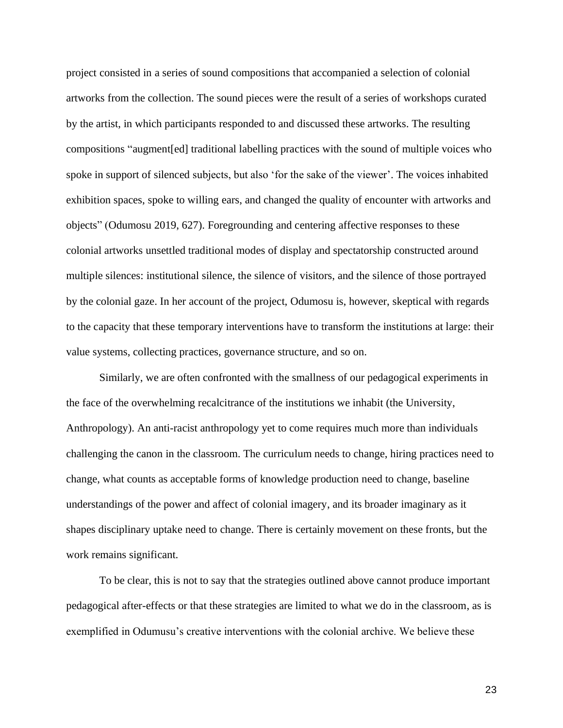project consisted in a series of sound compositions that accompanied a selection of colonial artworks from the collection. The sound pieces were the result of a series of workshops curated by the artist, in which participants responded to and discussed these artworks. The resulting compositions "augment[ed] traditional labelling practices with the sound of multiple voices who spoke in support of silenced subjects, but also 'for the sake of the viewer'. The voices inhabited exhibition spaces, spoke to willing ears, and changed the quality of encounter with artworks and objects" (Odumosu 2019, 627). Foregrounding and centering affective responses to these colonial artworks unsettled traditional modes of display and spectatorship constructed around multiple silences: institutional silence, the silence of visitors, and the silence of those portrayed by the colonial gaze. In her account of the project, Odumosu is, however, skeptical with regards to the capacity that these temporary interventions have to transform the institutions at large: their value systems, collecting practices, governance structure, and so on.

Similarly, we are often confronted with the smallness of our pedagogical experiments in the face of the overwhelming recalcitrance of the institutions we inhabit (the University, Anthropology). An anti-racist anthropology yet to come requires much more than individuals challenging the canon in the classroom. The curriculum needs to change, hiring practices need to change, what counts as acceptable forms of knowledge production need to change, baseline understandings of the power and affect of colonial imagery, and its broader imaginary as it shapes disciplinary uptake need to change. There is certainly movement on these fronts, but the work remains significant.

To be clear, this is not to say that the strategies outlined above cannot produce important pedagogical after-effects or that these strategies are limited to what we do in the classroom, as is exemplified in Odumusu's creative interventions with the colonial archive. We believe these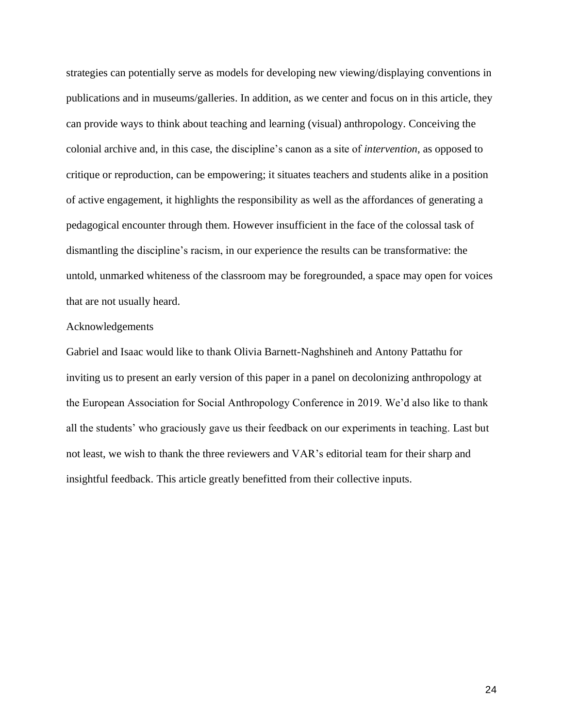strategies can potentially serve as models for developing new viewing/displaying conventions in publications and in museums/galleries. In addition, as we center and focus on in this article, they can provide ways to think about teaching and learning (visual) anthropology. Conceiving the colonial archive and, in this case, the discipline's canon as a site of *intervention*, as opposed to critique or reproduction, can be empowering; it situates teachers and students alike in a position of active engagement, it highlights the responsibility as well as the affordances of generating a pedagogical encounter through them. However insufficient in the face of the colossal task of dismantling the discipline's racism, in our experience the results can be transformative: the untold, unmarked whiteness of the classroom may be foregrounded, a space may open for voices that are not usually heard.

### Acknowledgements

Gabriel and Isaac would like to thank Olivia Barnett-Naghshineh and Antony Pattathu for inviting us to present an early version of this paper in a panel on decolonizing anthropology at the European Association for Social Anthropology Conference in 2019. We'd also like to thank all the students' who graciously gave us their feedback on our experiments in teaching. Last but not least, we wish to thank the three reviewers and VAR's editorial team for their sharp and insightful feedback. This article greatly benefitted from their collective inputs.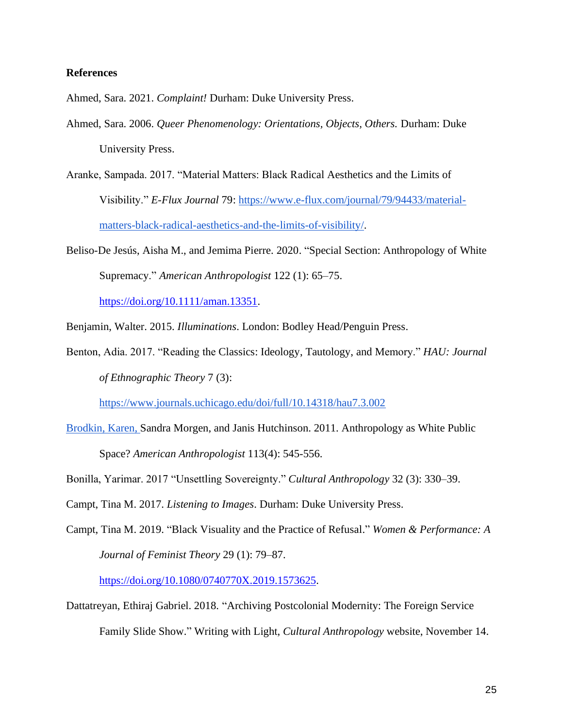### **References**

Ahmed, Sara. 2021. *Complaint!* Durham: Duke University Press.

- Ahmed, Sara. 2006. *Queer Phenomenology: Orientations, Objects, Others.* Durham: Duke University Press.
- Aranke, Sampada. 2017. "Material Matters: Black Radical Aesthetics and the Limits of Visibility." *E-Flux Journal* 79[:](https://www.e-flux.com/journal/79/94433/material-matters-black-radical-aesthetics-and-the-limits-of-visibility/) [https://www.e-flux.com/journal/79/94433/material](https://www.e-flux.com/journal/79/94433/material-matters-black-radical-aesthetics-and-the-limits-of-visibility/)[matters-black-radical-aesthetics-and-the-limits-of-visibility/.](https://www.e-flux.com/journal/79/94433/material-matters-black-radical-aesthetics-and-the-limits-of-visibility/)
- Beliso-De Jesús, Aisha M., and Jemima Pierre. 2020. "Special Section: Anthropology of White Supremacy." *American Anthropologist* 122 (1): 65–75.

[https://doi.org/10.1111/aman.13351.](https://doi.org/10.1111/aman.13351)

Benjamin, Walter. 2015. *Illuminations*. London: Bodley Head/Penguin Press.

Benton, Adia. 2017. "Reading the Classics: Ideology, Tautology, and Memory." *HAU: Journal of Ethnographic Theory* 7 (3):

<https://www.journals.uchicago.edu/doi/full/10.14318/hau7.3.002>

- Brodkin, Karen, Sandra Morgen, and Janis Hutchinson. 2011. Anthropology as White Public Space? *American Anthropologist* 113(4): 545-556.
- Bonilla, Yarimar. 2017 "Unsettling Sovereignty." *Cultural Anthropology* 32 (3): 330–39.

Campt, Tina M. 2017. *Listening to Images*. Durham: Duke University Press.

Campt, Tina M. 2019. "Black Visuality and the Practice of Refusal." *Women & Performance: A Journal of Feminist Theory* 29 (1): 79–87.

[https://doi.org/10.1080/0740770X.2019.1573625.](https://doi.org/10.1080/0740770X.2019.1573625)

Dattatreyan, Ethiraj Gabriel. 2018. "Archiving Postcolonial Modernity: The Foreign Service Family Slide Show." Writing with Light, *Cultural Anthropology* website, November 14.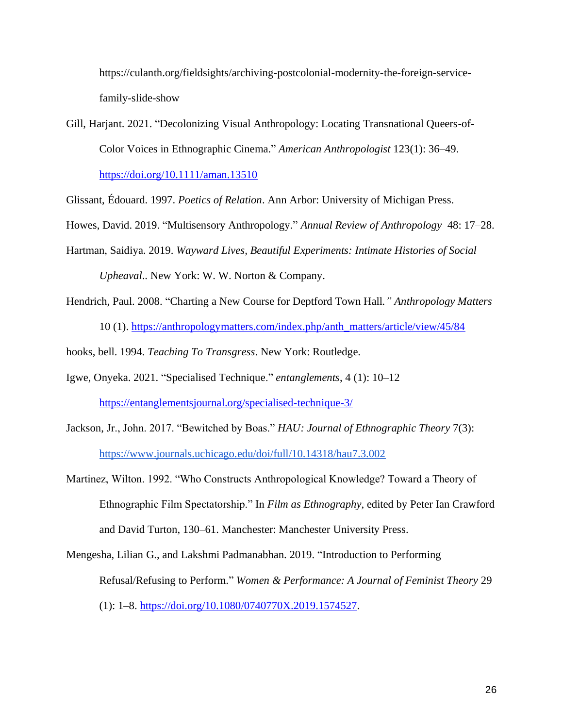https://culanth.org/fieldsights/archiving-postcolonial-modernity-the-foreign-servicefamily-slide-show

Gill, Harjant. 2021. "Decolonizing Visual Anthropology: Locating Transnational Queers-of-Color Voices in Ethnographic Cinema." *American Anthropologist* 123(1): 36–49. <https://doi.org/10.1111/aman.13510>

Glissant, Édouard. 1997. *Poetics of Relation*. Ann Arbor: University of Michigan Press.

Howes, David. 2019. "Multisensory Anthropology." *Annual Review of Anthropology* 48: 17–28.

- Hartman, Saidiya. 2019. *Wayward Lives, Beautiful Experiments: Intimate Histories of Social Upheaval*.. New York: W. W. Norton & Company.
- Hendrich, Paul. 2008. "Charting a New Course for Deptford Town Hall*." Anthropology Matters* 10 (1). [https://anthropologymatters.com/index.php/anth\\_matters/article/view/45/84](https://anthropologymatters.com/index.php/anth_matters/article/view/45/84)

hooks, bell. 1994. *Teaching To Transgress*. New York: Routledge.

- Igwe, Onyeka. 2021. "Specialised Technique." *entanglements*, 4 (1): 10–12 <https://entanglementsjournal.org/specialised-technique-3/>
- Jackson, Jr., John. 2017. "Bewitched by Boas." *HAU: Journal of Ethnographic Theory* 7(3): <https://www.journals.uchicago.edu/doi/full/10.14318/hau7.3.002>
- Martinez, Wilton. 1992. "Who Constructs Anthropological Knowledge? Toward a Theory of Ethnographic Film Spectatorship." In *Film as Ethnography*, edited by Peter Ian Crawford and David Turton, 130–61. Manchester: Manchester University Press.
- Mengesha, Lilian G., and Lakshmi Padmanabhan. 2019. "Introduction to Performing Refusal/Refusing to Perform." *Women & Performance: A Journal of Feminist Theory* 29 (1): 1–8. [https://doi.org/10.1080/0740770X.2019.1574527.](https://doi.org/10.1080/0740770X.2019.1574527)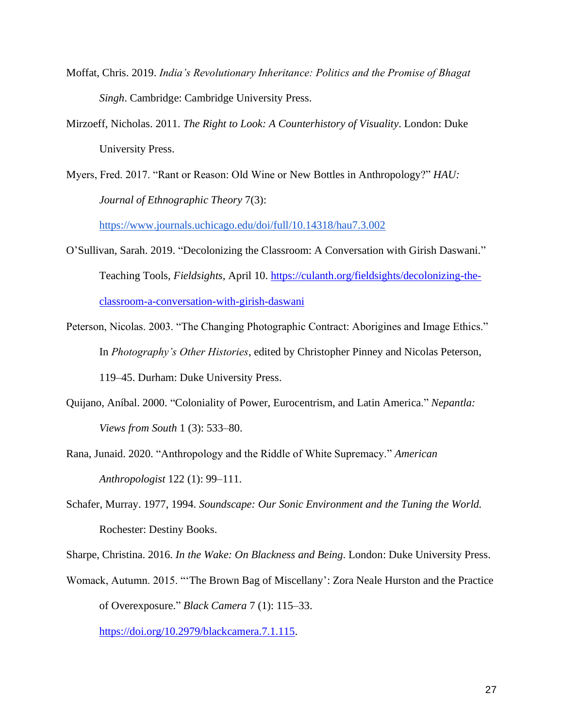- Moffat, Chris. 2019. *India's Revolutionary Inheritance: Politics and the Promise of Bhagat Singh*. Cambridge: Cambridge University Press.
- Mirzoeff, Nicholas. 2011. *The Right to Look: A Counterhistory of Visuality*. London: Duke University Press.
- Myers, Fred. 2017. "Rant or Reason: Old Wine or New Bottles in Anthropology?" *HAU: Journal of Ethnographic Theory* 7(3):

<https://www.journals.uchicago.edu/doi/full/10.14318/hau7.3.002>

- O'Sullivan, Sarah. 2019. "Decolonizing the Classroom: A Conversation with Girish Daswani." Teaching Tools, *Fieldsights*, April 10. [https://culanth.org/fieldsights/decolonizing-the](https://culanth.org/fieldsights/decolonizing-the-classroom-a-conversation-with-girish-daswani)[classroom-a-conversation-with-girish-daswani](https://culanth.org/fieldsights/decolonizing-the-classroom-a-conversation-with-girish-daswani)
- Peterson, Nicolas. 2003. "The Changing Photographic Contract: Aborigines and Image Ethics." In *Photography's Other Histories*, edited by Christopher Pinney and Nicolas Peterson, 119–45. Durham: Duke University Press.
- Quijano, Aníbal. 2000. "Coloniality of Power, Eurocentrism, and Latin America." *Nepantla: Views from South* 1 (3): 533–80.
- Rana, Junaid. 2020. "Anthropology and the Riddle of White Supremacy." *American Anthropologist* 122 (1): 99–111.
- Schafer, Murray. 1977, 1994. *Soundscape: Our Sonic Environment and the Tuning the World.*  Rochester: Destiny Books.

Sharpe, Christina. 2016. *In the Wake: On Blackness and Being*. London: Duke University Press.

Womack, Autumn. 2015. "'The Brown Bag of Miscellany': Zora Neale Hurston and the Practice of Overexposure." *Black Camera* 7 (1): 115–33.

[https://doi.org/10.2979/blackcamera.7.1.115.](https://doi.org/10.2979/blackcamera.7.1.115)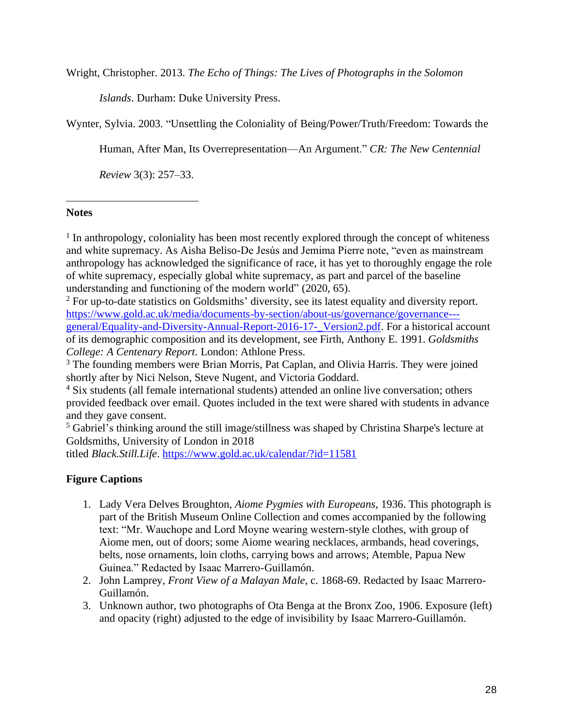Wright, Christopher. 2013. *The Echo of Things: The Lives of Photographs in the Solomon* 

*Islands*. Durham: Duke University Press.

Wynter, Sylvia. 2003. "Unsettling the Coloniality of Being/Power/Truth/Freedom: Towards the

Human, After Man, Its Overrepresentation—An Argument." *CR: The New Centennial* 

*Review* 3(3): 257–33.

# **Notes**

<sup>1</sup> In anthropology, coloniality has been most recently explored through the concept of whiteness and white supremacy. As Aisha Beliso-De Jesús and Jemima Pierre note, "even as mainstream anthropology has acknowledged the significance of race, it has yet to thoroughly engage the role of white supremacy, especially global white supremacy, as part and parcel of the baseline understanding and functioning of the modern world" (2020, 65).

<sup>2</sup> For up-to-date statistics on Goldsmiths' diversity, see its latest equality and diversity report. [https://www.gold.ac.uk/media/documents-by-section/about-us/governance/governance--](https://www.gold.ac.uk/media/documents-by-section/about-us/governance/governance---general/Equality-and-Diversity-Annual-Report-2016-17-_Version2.pdf) [general/Equality-and-Diversity-Annual-Report-2016-17-\\_Version2.pdf.](https://www.gold.ac.uk/media/documents-by-section/about-us/governance/governance---general/Equality-and-Diversity-Annual-Report-2016-17-_Version2.pdf) For a historical account of its demographic composition and its development, see Firth, Anthony E. 1991. *Goldsmiths College: A Centenary Report*. London: Athlone Press.

<sup>3</sup> The founding members were Brian Morris, Pat Caplan, and Olivia Harris. They were joined shortly after by Nici Nelson, Steve Nugent, and Victoria Goddard.

<sup>4</sup> Six students (all female international students) attended an online live conversation; others provided feedback over email. Quotes included in the text were shared with students in advance and they gave consent.

<sup>5</sup> Gabriel's thinking around the still image/stillness was shaped by Christina Sharpe's lecture at Goldsmiths, University of London in 2018

titled *Black.Still.Life*. <https://www.gold.ac.uk/calendar/?id=11581>

# **Figure Captions**

- 1. Lady Vera Delves Broughton, *Aiome Pygmies with Europeans,* 1936. This photograph is part of the British Museum Online Collection and comes accompanied by the following text: "Mr. Wauchope and Lord Moyne wearing western-style clothes, with group of Aiome men, out of doors; some Aiome wearing necklaces, armbands, head coverings, belts, nose ornaments, loin cloths, carrying bows and arrows; Atemble, Papua New Guinea." Redacted by Isaac Marrero-Guillamón.
- 2. John Lamprey, *Front View of a Malayan Male*, c. 1868-69. Redacted by Isaac Marrero-Guillamón.
- 3. Unknown author, two photographs of Ota Benga at the Bronx Zoo, 1906. Exposure (left) and opacity (right) adjusted to the edge of invisibility by Isaac Marrero-Guillamón.